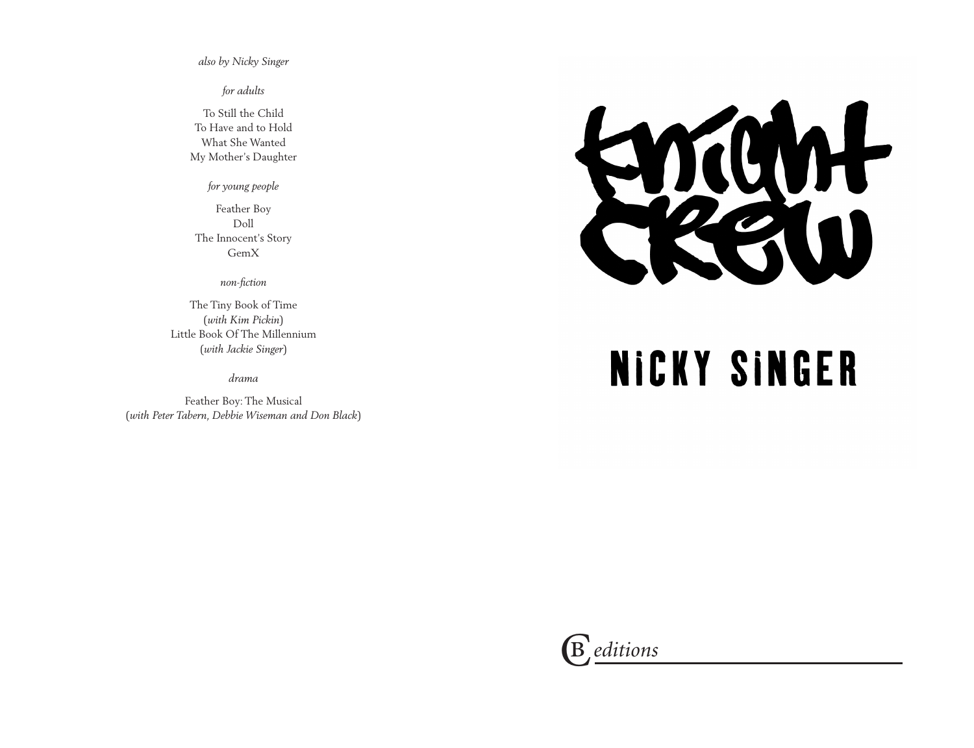*also by Nicky Singer*

*for adults*

To Still the Child To Have and to Hold What She Wanted My Mother's Daughter

*for young people*

Feather Boy Doll The Innocent's Story GemX

*non-fiction*

The Tiny Book of Time (*with Kim Pickin*) Little Book Of The Millennium (*with Jackie Singer*)

*drama*

Feather Boy: The Musical (*with Peter Tabern, Debbie Wiseman and Don Black*)



## **NICKY SINGER**

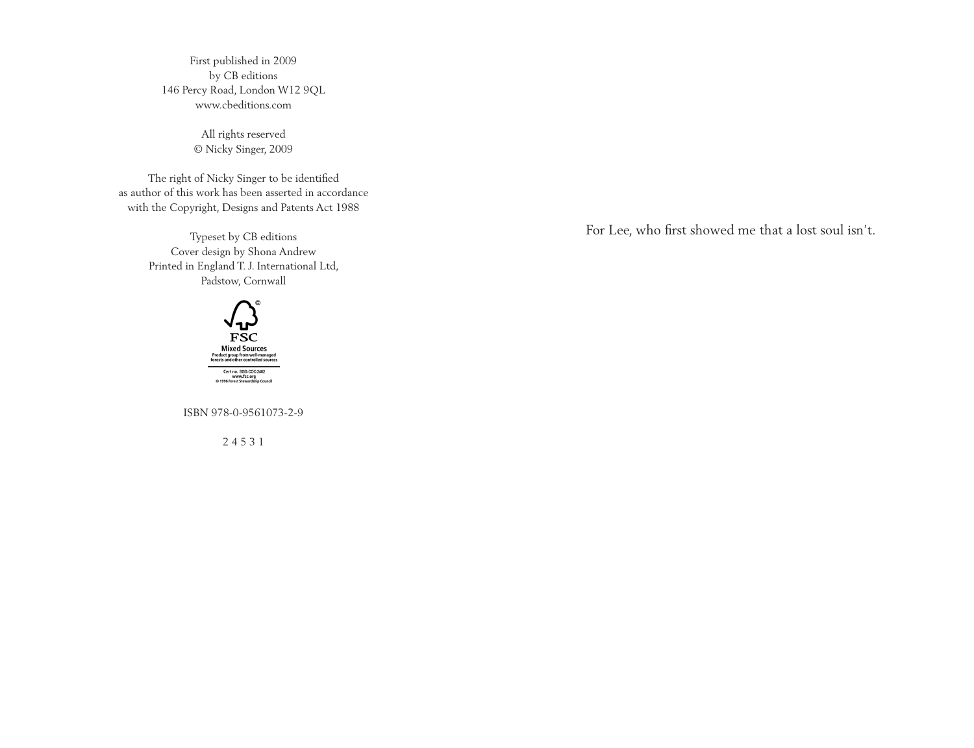First published in 2009 by CB editions 146 Percy Road, London W12 9QL www.cbeditions.com

> All rights reserved © Nicky Singer, 2009

The right of Nicky Singer to be identified as author of this work has been asserted in accordance with the Copyright, Designs and Patents Act 1988

> Typeset by CB editions Cover design by Shona Andrew Printed in England T. J. International Ltd, Padstow, Cornwall



ISBN 978-0-9561073-2-9

2 4 5 3 1

For Lee, who first showed me that a lost soul isn't.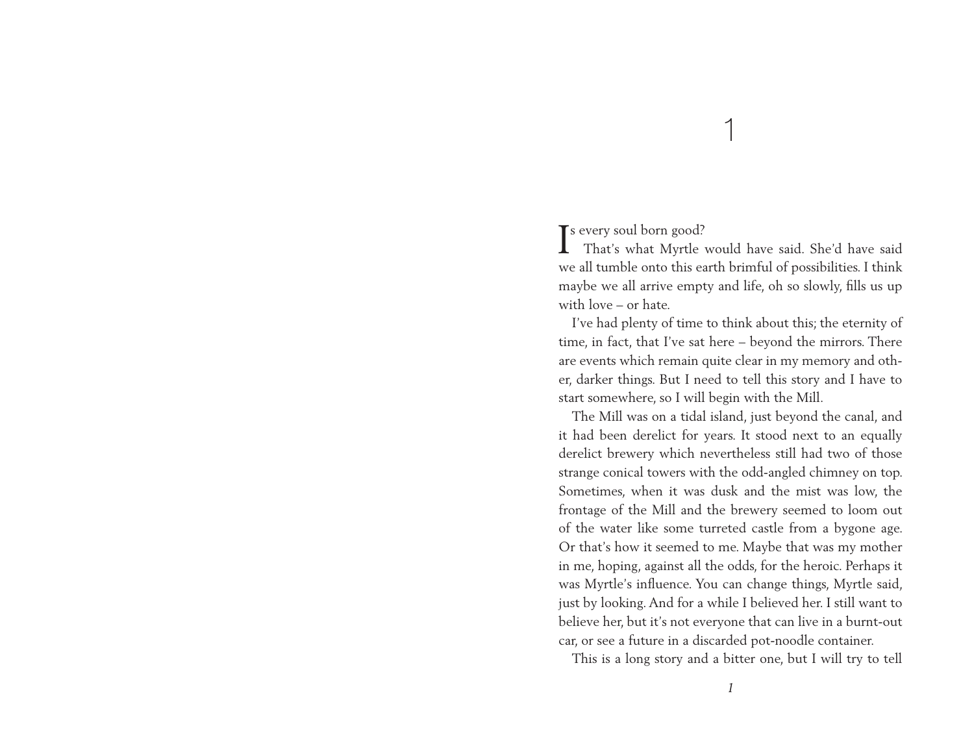1

Is every soul born good?<br>That's what Myrtle That's what Myrtle would have said. She'd have said we all tumble onto this earth brimful of possibilities. I think maybe we all arrive empty and life, oh so slowly, fills us up with love – or hate.

I've had plenty of time to think about this; the eternity of time, in fact, that I've sat here – beyond the mirrors. There are events which remain quite clear in my memory and other, darker things. But I need to tell this story and I have to start somewhere, so I will begin with the Mill.

The Mill was on a tidal island, just beyond the canal, and it had been derelict for years. It stood next to an equally derelict brewery which nevertheless still had two of those strange conical towers with the odd-angled chimney on top. Sometimes, when it was dusk and the mist was low, the frontage of the Mill and the brewery seemed to loom out of the water like some turreted castle from a bygone age. Or that's how it seemed to me. Maybe that was my mother in me, hoping, against all the odds, for the heroic. Perhaps it was Myrtle's influence. You can change things, Myrtle said, just by looking. And for a while I believed her. I still want to believe her, but it's not everyone that can live in a burnt-out car, or see a future in a discarded pot-noodle container.

This is a long story and a bitter one, but I will try to tell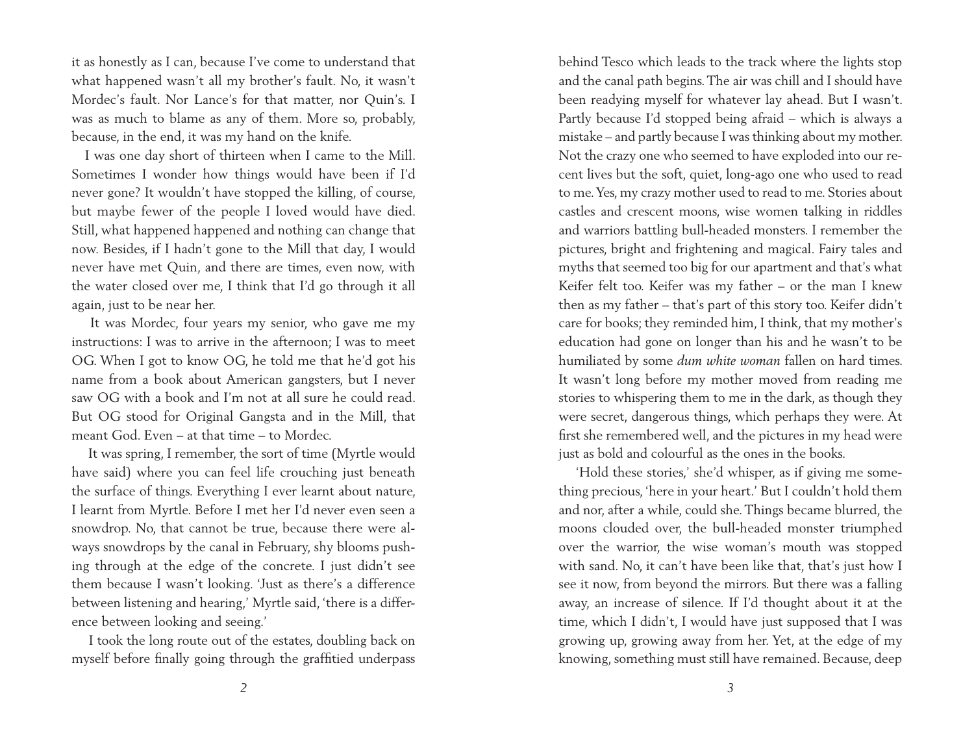it as honestly as I can, because I've come to understand that what happened wasn't all my brother's fault. No, it wasn't Mordec's fault. Nor Lance's for that matter, nor Quin's. I was as much to blame as any of them. More so, probably, because, in the end, it was my hand on the knife.

I was one day short of thirteen when I came to the Mill. Sometimes I wonder how things would have been if I'd never gone? It wouldn't have stopped the killing, of course, but maybe fewer of the people I loved would have died. Still, what happened happened and nothing can change that now. Besides, if I hadn't gone to the Mill that day, I would never have met Quin, and there are times, even now, with the water closed over me, I think that I'd go through it all again, just to be near her.

 It was Mordec, four years my senior, who gave me my instructions: I was to arrive in the afternoon; I was to meet OG. When I got to know OG, he told me that he'd got his name from a book about American gangsters, but I never saw OG with a book and I'm not at all sure he could read. But OG stood for Original Gangsta and in the Mill, that meant God. Even – at that time – to Mordec.

 It was spring, I remember, the sort of time (Myrtle would have said) where you can feel life crouching just beneath the surface of things. Everything I ever learnt about nature, I learnt from Myrtle. Before I met her I'd never even seen a snowdrop. No, that cannot be true, because there were always snowdrops by the canal in February, shy blooms pushing through at the edge of the concrete. I just didn't see them because I wasn't looking. 'Just as there's a difference between listening and hearing,' Myrtle said, 'there is a difference between looking and seeing.'

 I took the long route out of the estates, doubling back on myself before finally going through the graffitied underpass behind Tesco which leads to the track where the lights stop and the canal path begins. The air was chill and I should have been readying myself for whatever lay ahead. But I wasn't. Partly because I'd stopped being afraid – which is always a mistake – and partly because I was thinking about my mother. Not the crazy one who seemed to have exploded into our recent lives but the soft, quiet, long-ago one who used to read to me. Yes, my crazy mother used to read to me. Stories about castles and crescent moons, wise women talking in riddles and warriors battling bull-headed monsters. I remember the pictures, bright and frightening and magical. Fairy tales and myths that seemed too big for our apartment and that's what Keifer felt too. Keifer was my father – or the man I knew then as my father – that's part of this story too. Keifer didn't care for books; they reminded him, I think, that my mother's education had gone on longer than his and he wasn't to be humiliated by some *dum white woman* fallen on hard times. It wasn't long before my mother moved from reading me stories to whispering them to me in the dark, as though they were secret, dangerous things, which perhaps they were. At first she remembered well, and the pictures in my head were just as bold and colourful as the ones in the books.

 'Hold these stories,' she'd whisper, as if giving me something precious, 'here in your heart.' But I couldn't hold them and nor, after a while, could she. Things became blurred, the moons clouded over, the bull-headed monster triumphed over the warrior, the wise woman's mouth was stopped with sand. No, it can't have been like that, that's just how I see it now, from beyond the mirrors. But there was a falling away, an increase of silence. If I'd thought about it at the time, which I didn't, I would have just supposed that I was growing up, growing away from her. Yet, at the edge of my knowing, something must still have remained. Because, deep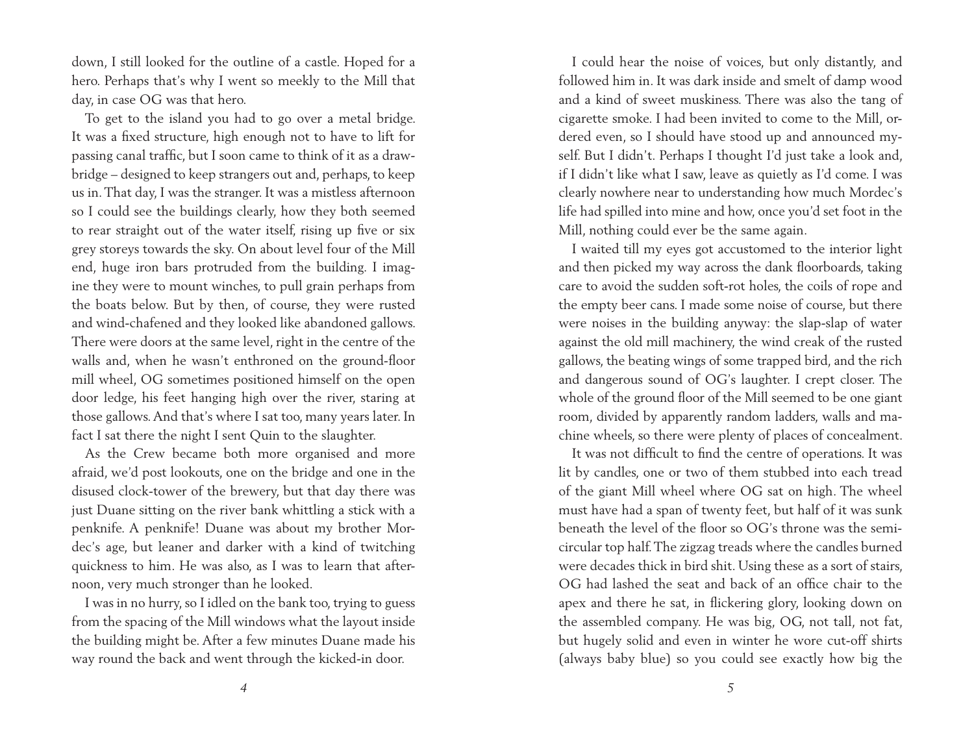down, I still looked for the outline of a castle. Hoped for a hero. Perhaps that's why I went so meekly to the Mill that day, in case OG was that hero.

To get to the island you had to go over a metal bridge. It was a fixed structure, high enough not to have to lift for passing canal traffic, but I soon came to think of it as a drawbridge – designed to keep strangers out and, perhaps, to keep us in. That day, I was the stranger. It was a mistless afternoon so I could see the buildings clearly, how they both seemed to rear straight out of the water itself, rising up five or six grey storeys towards the sky. On about level four of the Mill end, huge iron bars protruded from the building. I imagine they were to mount winches, to pull grain perhaps from the boats below. But by then, of course, they were rusted and wind-chafened and they looked like abandoned gallows. There were doors at the same level, right in the centre of the walls and, when he wasn't enthroned on the ground-floor mill wheel, OG sometimes positioned himself on the open door ledge, his feet hanging high over the river, staring at those gallows. And that's where I sat too, many years later. In fact I sat there the night I sent Quin to the slaughter.

As the Crew became both more organised and more afraid, we'd post lookouts, one on the bridge and one in the disused clock-tower of the brewery, but that day there was just Duane sitting on the river bank whittling a stick with a penknife. A penknife! Duane was about my brother Mordec's age, but leaner and darker with a kind of twitching quickness to him. He was also, as I was to learn that afternoon, very much stronger than he looked.

I was in no hurry, so I idled on the bank too, trying to guess from the spacing of the Mill windows what the layout inside the building might be. After a few minutes Duane made his way round the back and went through the kicked-in door.

I could hear the noise of voices, but only distantly, and followed him in. It was dark inside and smelt of damp wood and a kind of sweet muskiness. There was also the tang of cigarette smoke. I had been invited to come to the Mill, ordered even, so I should have stood up and announced myself. But I didn't. Perhaps I thought I'd just take a look and, if I didn't like what I saw, leave as quietly as I'd come. I was clearly nowhere near to understanding how much Mordec's life had spilled into mine and how, once you'd set foot in the Mill, nothing could ever be the same again.

I waited till my eyes got accustomed to the interior light and then picked my way across the dank floorboards, taking care to avoid the sudden soft-rot holes, the coils of rope and the empty beer cans. I made some noise of course, but there were noises in the building anyway: the slap-slap of water against the old mill machinery, the wind creak of the rusted gallows, the beating wings of some trapped bird, and the rich and dangerous sound of OG's laughter. I crept closer. The whole of the ground floor of the Mill seemed to be one giant room, divided by apparently random ladders, walls and machine wheels, so there were plenty of places of concealment.

It was not difficult to find the centre of operations. It was lit by candles, one or two of them stubbed into each tread of the giant Mill wheel where OG sat on high. The wheel must have had a span of twenty feet, but half of it was sunk beneath the level of the floor so OG's throne was the semicircular top half. The zigzag treads where the candles burned were decades thick in bird shit. Using these as a sort of stairs, OG had lashed the seat and back of an office chair to the apex and there he sat, in flickering glory, looking down on the assembled company. He was big, OG, not tall, not fat, but hugely solid and even in winter he wore cut-off shirts (always baby blue) so you could see exactly how big the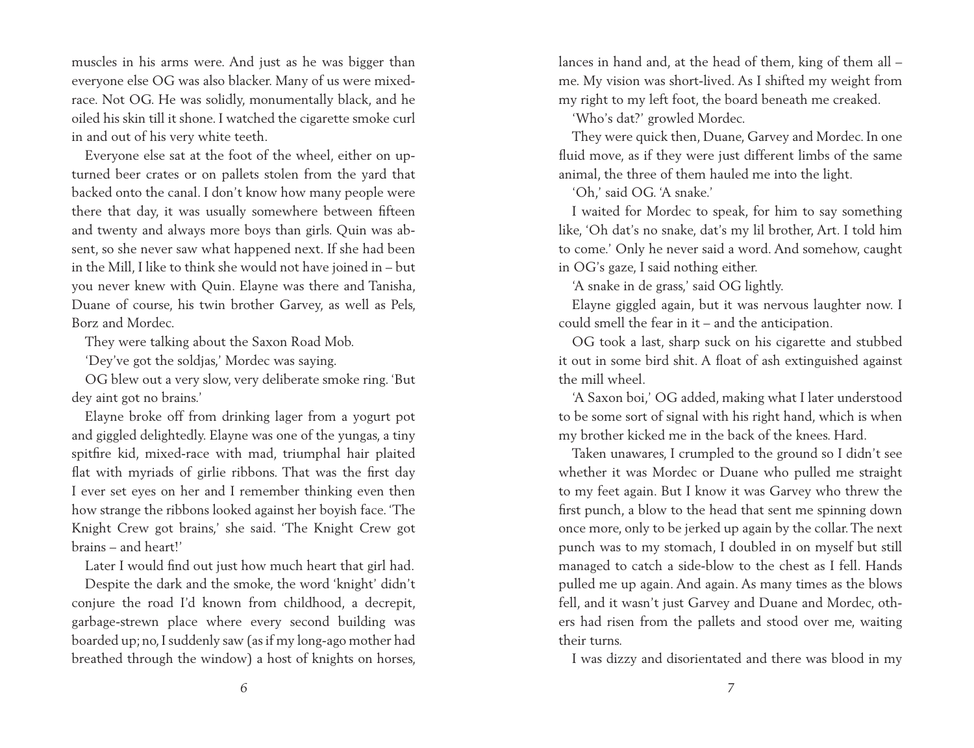muscles in his arms were. And just as he was bigger than everyone else OG was also blacker. Many of us were mixedrace. Not OG. He was solidly, monumentally black, and he oiled his skin till it shone. I watched the cigarette smoke curl in and out of his very white teeth.

Everyone else sat at the foot of the wheel, either on upturned beer crates or on pallets stolen from the yard that backed onto the canal. I don't know how many people were there that day, it was usually somewhere between fifteen and twenty and always more boys than girls. Quin was absent, so she never saw what happened next. If she had been in the Mill, I like to think she would not have joined in – but you never knew with Quin. Elayne was there and Tanisha, Duane of course, his twin brother Garvey, as well as Pels, Borz and Mordec.

They were talking about the Saxon Road Mob.

'Dey've got the soldjas,' Mordec was saying.

OG blew out a very slow, very deliberate smoke ring. 'But dey aint got no brains.'

Elayne broke off from drinking lager from a yogurt pot and giggled delightedly. Elayne was one of the yungas, a tiny spitfire kid, mixed-race with mad, triumphal hair plaited flat with myriads of girlie ribbons. That was the first day I ever set eyes on her and I remember thinking even then how strange the ribbons looked against her boyish face. 'The Knight Crew got brains,' she said. 'The Knight Crew got brains – and heart!'

Later I would find out just how much heart that girl had.

Despite the dark and the smoke, the word 'knight' didn't conjure the road I'd known from childhood, a decrepit, garbage-strewn place where every second building was boarded up; no, I suddenly saw (as if my long-ago mother had breathed through the window) a host of knights on horses,

lances in hand and, at the head of them, king of them all – me. My vision was short-lived. As I shifted my weight from my right to my left foot, the board beneath me creaked.

'Who's dat?' growled Mordec.

They were quick then, Duane, Garvey and Mordec. In one fluid move, as if they were just different limbs of the same animal, the three of them hauled me into the light.

'Oh,' said OG. 'A snake.'

I waited for Mordec to speak, for him to say something like, 'Oh dat's no snake, dat's my lil brother, Art. I told him to come.' Only he never said a word. And somehow, caught in OG's gaze, I said nothing either.

'A snake in de grass,' said OG lightly.

Elayne giggled again, but it was nervous laughter now. I could smell the fear in it – and the anticipation.

OG took a last, sharp suck on his cigarette and stubbed it out in some bird shit. A float of ash extinguished against the mill wheel.

'A Saxon boi,' OG added, making what I later understood to be some sort of signal with his right hand, which is when my brother kicked me in the back of the knees. Hard.

Taken unawares, I crumpled to the ground so I didn't see whether it was Mordec or Duane who pulled me straight to my feet again. But I know it was Garvey who threw the first punch, a blow to the head that sent me spinning down once more, only to be jerked up again by the collar. The next punch was to my stomach, I doubled in on myself but still managed to catch a side-blow to the chest as I fell. Hands pulled me up again. And again. As many times as the blows fell, and it wasn't just Garvey and Duane and Mordec, others had risen from the pallets and stood over me, waiting their turns.

I was dizzy and disorientated and there was blood in my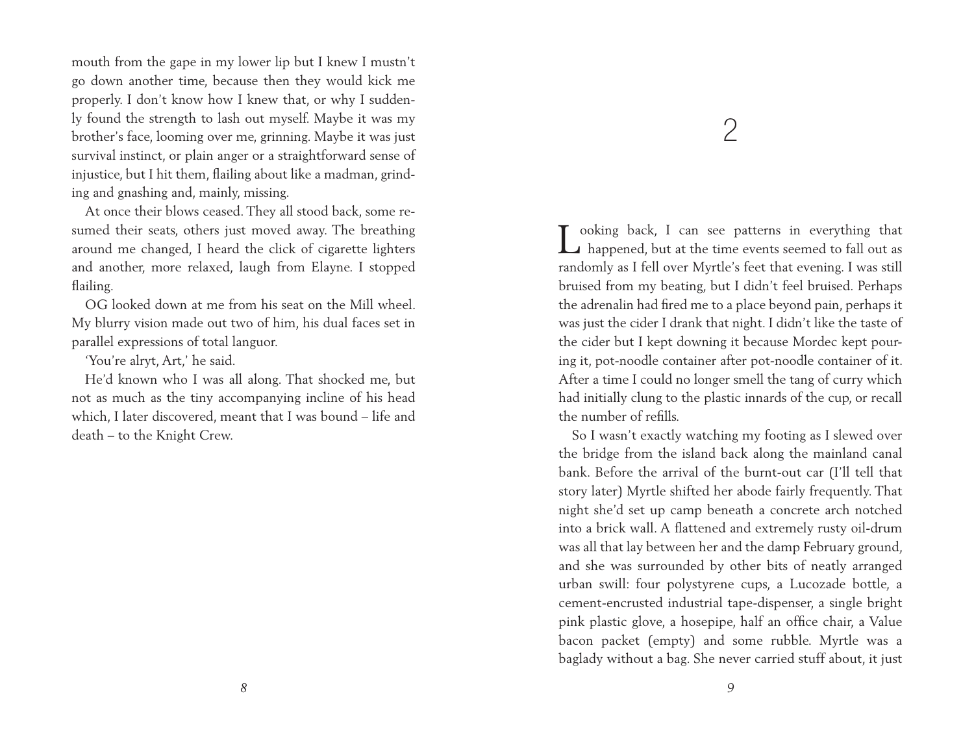mouth from the gape in my lower lip but I knew I mustn't go down another time, because then they would kick me properly. I don't know how I knew that, or why I suddenly found the strength to lash out myself. Maybe it was my brother's face, looming over me, grinning. Maybe it was just survival instinct, or plain anger or a straightforward sense of injustice, but I hit them, flailing about like a madman, grinding and gnashing and, mainly, missing.

At once their blows ceased. They all stood back, some resumed their seats, others just moved away. The breathing around me changed, I heard the click of cigarette lighters and another, more relaxed, laugh from Elayne. I stopped flailing.

OG looked down at me from his seat on the Mill wheel. My blurry vision made out two of him, his dual faces set in parallel expressions of total languor.

'You're alryt, Art,' he said.

He'd known who I was all along. That shocked me, but not as much as the tiny accompanying incline of his head which, I later discovered, meant that I was bound – life and death – to the Knight Crew.

## 2

Looking back, I can see patterns in everything that happened, but at the time events seemed to fall out as randomly as I fell over Myrtle's feet that evening. I was still bruised from my beating, but I didn't feel bruised. Perhaps the adrenalin had fired me to a place beyond pain, perhaps it was just the cider I drank that night. I didn't like the taste of the cider but I kept downing it because Mordec kept pouring it, pot-noodle container after pot-noodle container of it. After a time I could no longer smell the tang of curry which had initially clung to the plastic innards of the cup, or recall the number of refills.

So I wasn't exactly watching my footing as I slewed over the bridge from the island back along the mainland canal bank. Before the arrival of the burnt-out car (I'll tell that story later) Myrtle shifted her abode fairly frequently. That night she'd set up camp beneath a concrete arch notched into a brick wall. A flattened and extremely rusty oil-drum was all that lay between her and the damp February ground, and she was surrounded by other bits of neatly arranged urban swill: four polystyrene cups, a Lucozade bottle, a cement-encrusted industrial tape-dispenser, a single bright pink plastic glove, a hosepipe, half an office chair, a Value bacon packet (empty) and some rubble. Myrtle was a baglady without a bag. She never carried stuff about, it just